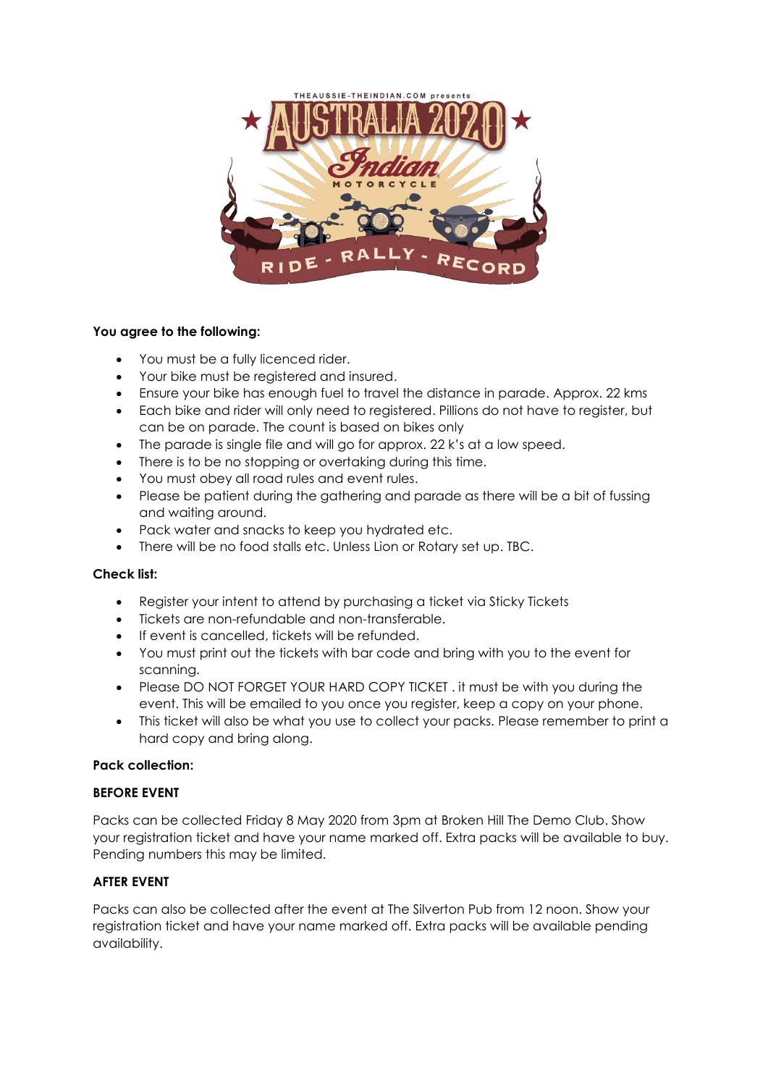

# **You agree to the following:**

- You must be a fully licenced rider.
- Your bike must be registered and insured.
- Ensure your bike has enough fuel to travel the distance in parade. Approx. 22 kms
- Each bike and rider will only need to registered. Pillions do not have to register, but can be on parade. The count is based on bikes only
- The parade is single file and will go for approx. 22 k's at a low speed.
- There is to be no stopping or overtaking during this time.
- You must obey all road rules and event rules.
- Please be patient during the gathering and parade as there will be a bit of fussing and waiting around.
- Pack water and snacks to keep you hydrated etc.
- There will be no food stalls etc. Unless Lion or Rotary set up. TBC.

## **Check list:**

- Register your intent to attend by purchasing a ticket via Sticky Tickets
- Tickets are non-refundable and non-transferable.
- If event is cancelled, tickets will be refunded.
- You must print out the tickets with bar code and bring with you to the event for scanning.
- Please DO NOT FORGET YOUR HARD COPY TICKET . it must be with you during the event. This will be emailed to you once you register, keep a copy on your phone.
- This ticket will also be what you use to collect your packs. Please remember to print a hard copy and bring along.

## **Pack collection:**

## **BEFORE EVENT**

Packs can be collected Friday 8 May 2020 from 3pm at Broken Hill The Demo Club. Show your registration ticket and have your name marked off. Extra packs will be available to buy. Pending numbers this may be limited.

## **AFTER EVENT**

Packs can also be collected after the event at The Silverton Pub from 12 noon. Show your registration ticket and have your name marked off. Extra packs will be available pending availability.